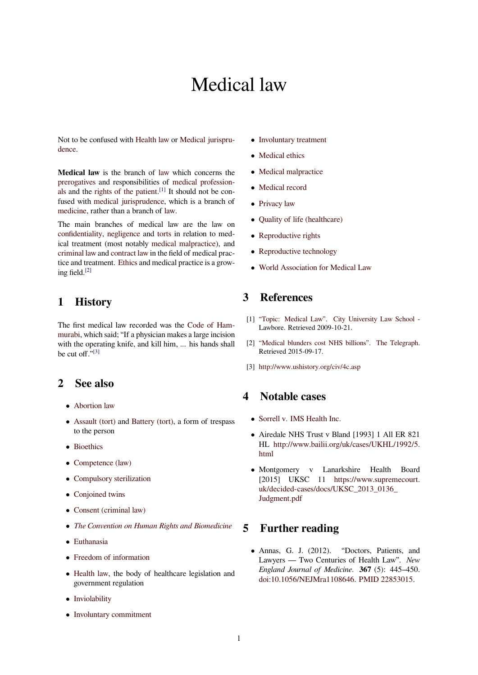# Medical law

Not to be confused with Health law or Medical jurisprudence.

**Medical law** is the branch of law which concerns the prerogatives and respon[sibilities of](https://en.wikipedia.org/wiki/Health_law) m[edical profession](https://en.wikipedia.org/wiki/Medical_jurisprudence)[als](https://en.wikipedia.org/wiki/Medical_jurisprudence) and the rights of the patient.<sup>[1]</sup> It should not be confused with medical jurisprudence, which is a branch of medicine, rather than a branch of [la](https://en.wikipedia.org/wiki/Law)w.

[The main b](https://en.wikipedia.org/wiki/Prerogative)ranches of medicall[aw are the law on](https://en.wikipedia.org/wiki/Medical_professionals) [con](https://en.wikipedia.org/wiki/Medical_professionals)fidentiality, [negligence](https://en.wikipedia.org/wiki/Rights_of_the_patient) and [tor](#page-0-0)ts in relation to medical treatm[ent \(most notably](https://en.wikipedia.org/wiki/Medical_jurisprudence) medical malpractice), and [criminal l](https://en.wikipedia.org/wiki/Medicine)aw and contract law in th[e fie](https://en.wikipedia.org/wiki/Law)ld of medical practice and treatment. Ethics and medical practice is a grow[ing field.](https://en.wikipedia.org/wiki/Privacy_law)[2]

## **[1 H](https://en.wikipedia.org/wiki/Criminal_law)[is](#page-0-1)[to](https://en.wikipedia.org/wiki/Criminal_law)r[y](https://en.wikipedia.org/wiki/Contract_law)**

The first medical law recorded was the Code of Hammurabi, which said; "If a physician makes a large incision with the operating knife, and kill him, ... his hands shall be cut off." $^{[3]}$ 

## **[2 S](https://en.wikipedia.org/wiki/Code_of_Hammurabi)ee [a](#page-0-2)lso**

- *•* Abortion law
- *•* Assault (tort) and Battery (tort), a form of trespass to the person
- *•* [Bioethics](https://en.wikipedia.org/wiki/Abortion_law)
- *•* [Competence \(](https://en.wikipedia.org/wiki/Assault_(tort))law)
- *•* Compulsory sterilization
- *•* [Conjoined](https://en.wikipedia.org/wiki/Bioethics) twins
- *•* [Consent \(criminal](https://en.wikipedia.org/wiki/Competence_(law)) [law\)](https://en.wikipedia.org/wiki/Compulsory_sterilization)
- *• The Convention on Human Rights and Biomedicine*
- *•* [Euthanasia](https://en.wikipedia.org/wiki/Conjoined_twins)
- *•* [Freedom of informatio](https://en.wikipedia.org/wiki/Consent_(criminal_law))[n](https://en.wikipedia.org/wiki/Convention_for_the_Protection_of_Human_Rights_and_Dignity_of_the_Human_Being_with_regard_to_the_Application_of_Biology_and_Medicine)
- *•* Health law, the body of healthcare legislation and [governmen](https://en.wikipedia.org/wiki/Euthanasia)t regulation
- *•* [Inviolability](https://en.wikipedia.org/wiki/Freedom_of_information)
- *•* [Involuntary](https://en.wikipedia.org/wiki/Health_law) commitment
- *•* Involuntary treatment
- *•* Medical ethics
- *•* [Medical malpractice](https://en.wikipedia.org/wiki/Involuntary_treatment)
- *•* [Medical record](https://en.wikipedia.org/wiki/Medical_ethics)
- *•* Privacy law
- *•* [Quality of life \(healt](https://en.wikipedia.org/wiki/Medical_malpractice)hcare)
- *•* [Reproductiv](https://en.wikipedia.org/wiki/Privacy_law)e rights
- *•* [Reproductive technology](https://en.wikipedia.org/wiki/Quality_of_life_(healthcare))
- *•* [World Association f](https://en.wikipedia.org/wiki/Reproductive_rights)or Medical Law

## **3 [References](https://en.wikipedia.org/wiki/Reproductive_technology)**

- [1] "Topic: Medical Law". City University Law School Lawbore. Retrieved 2009-10-21.
- [2] "Medical blunders cost NHS billions". The Telegraph. [Retrieved 2015-09-17.](http://www.lawbore.net/medical)
- <span id="page-0-0"></span>[3] http://www.ushistory.org/civ/4c.asp

### <span id="page-0-1"></span>**4 Notable cases**

- <span id="page-0-2"></span>*•* Sorrell v. IMS Health Inc.
- Airedale NHS Trust v Bland [1993] 1 All ER 821 HL http://www.bailii.org/uk/cases/UKHL/1992/5. [html](https://en.wikipedia.org/wiki/Sorrell_v._IMS_Health_Inc.)
- *•* Montgomery v Lanarkshire Health Board [2015] UKSC 11 https://www.supremecourt. [uk/decided-cases/docs/UKSC\\_2013\\_0136\\_](http://www.bailii.org/uk/cases/UKHL/1992/5.html) Judgment.pdf

### **5 [Further reading](https://www.supremecourt.uk/decided-cases/docs/UKSC_2013_0136_Judgment.pdf)**

*•* Annas, G. J. (2012). "Doctors, Patients, and Lawyers — Two Centuries of Health Law". *New England Journal of Medicine*. **367** (5): 445–450. doi:10.1056/NEJMra1108646. PMID 22853015.